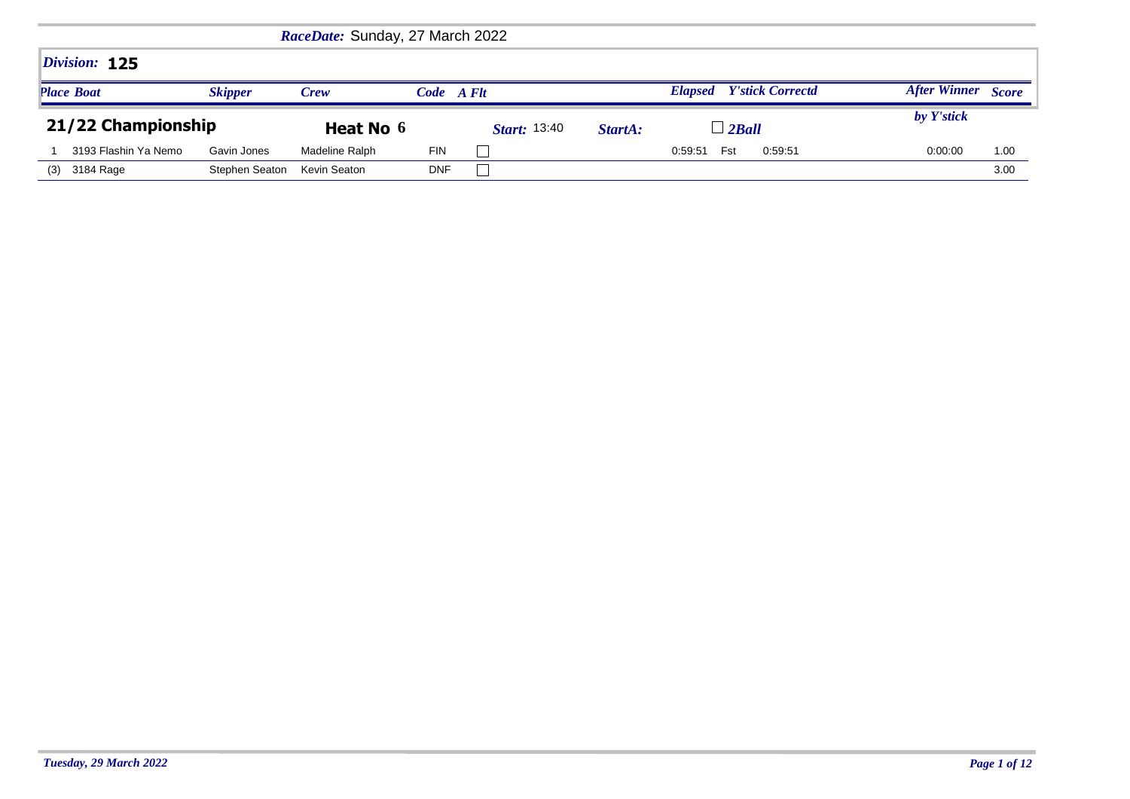|                      |                | RaceDate: Sunday, 27 March 2022 |            |                     |         |                                           |                     |              |
|----------------------|----------------|---------------------------------|------------|---------------------|---------|-------------------------------------------|---------------------|--------------|
| Division: 125        |                |                                 |            |                     |         |                                           |                     |              |
| <b>Place Boat</b>    | <b>Skipper</b> | <b>Crew</b>                     | Code A Flt |                     |         | <b>Y'stick Correctd</b><br><b>Elapsed</b> | <b>After Winner</b> | <b>Score</b> |
|                      |                |                                 |            |                     |         |                                           |                     |              |
| 21/22 Championship   |                | Heat No 6                       |            | <i>Start:</i> 13:40 | StartA: | $\perp$ 2Ball                             | by Y'stick          |              |
| 3193 Flashin Ya Nemo | Gavin Jones    | Madeline Ralph                  | <b>FIN</b> |                     |         | 0:59:51<br>0:59:51<br>Fst                 | 0:00:00             | 1.00         |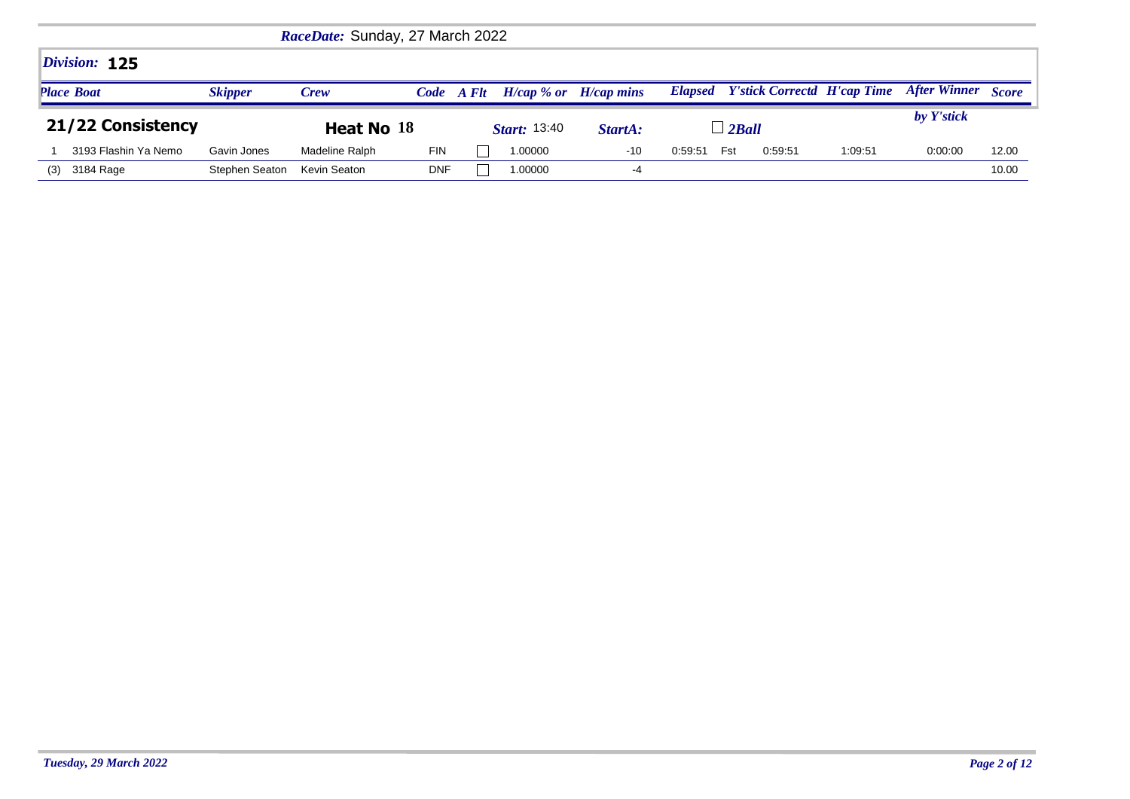|                      |                | RaceDate: Sunday, 27 March 2022 |            |                           |         |         |                |         |                                            |                     |              |
|----------------------|----------------|---------------------------------|------------|---------------------------|---------|---------|----------------|---------|--------------------------------------------|---------------------|--------------|
| Division: 125        |                |                                 |            |                           |         |         |                |         |                                            |                     |              |
| <b>Place Boat</b>    | <b>Skipper</b> | <b>Crew</b>                     | Code A Flt | $H/cap$ % or $H/cap$ mins |         |         |                |         | <b>Elapsed</b> Y'stick Correctd H'cap Time | <b>After Winner</b> | <b>Score</b> |
|                      |                |                                 |            |                           |         |         |                |         |                                            |                     |              |
| 21/22 Consistency    |                | Heat No 18                      |            | <i>Start:</i> 13:40       | StartA: |         | $\perp$ 2 Ball |         |                                            | by Y'stick          |              |
| 3193 Flashin Ya Nemo | Gavin Jones    | Madeline Ralph                  | <b>FIN</b> | 1.00000                   | $-10$   | 0:59:51 | Fst            | 0:59:51 | 1:09:51                                    | 0:00:00             | 12.00        |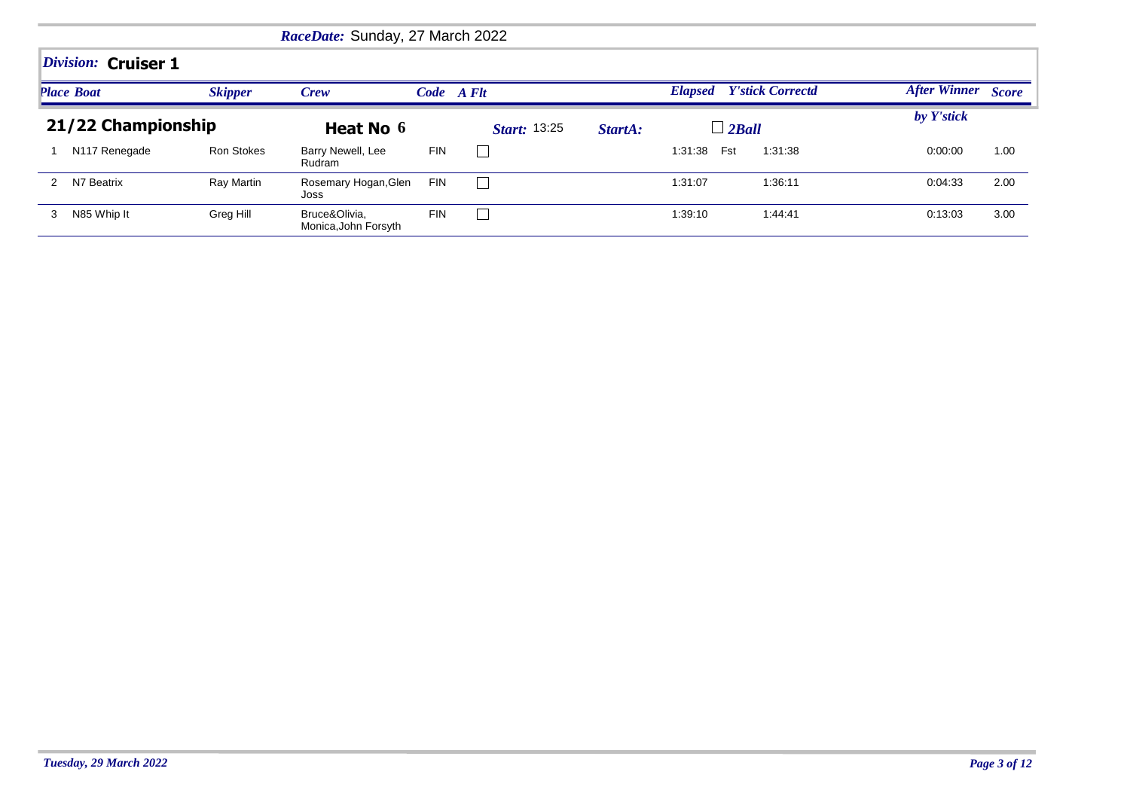|                     |                   | RaceDate: Sunday, 27 March 2022       |            |                     |         |                                 |         |                           |      |
|---------------------|-------------------|---------------------------------------|------------|---------------------|---------|---------------------------------|---------|---------------------------|------|
| Division: Cruiser 1 |                   |                                       |            |                     |         |                                 |         |                           |      |
| <b>Place Boat</b>   | <b>Skipper</b>    | Crew                                  | Code A Flt |                     |         | <b>Elapsed</b> Y'stick Correctd |         | <b>After Winner</b> Score |      |
| 21/22 Championship  |                   | Heat No 6                             |            | <b>Start: 13:25</b> | StartA: | $\perp$ 2 Ball                  |         | by Y'stick                |      |
| N117 Renegade       | <b>Ron Stokes</b> | Barry Newell, Lee<br>Rudram           | <b>FIN</b> | L                   |         | Fst<br>1:31:38                  | 1:31:38 | 0:00:00                   | 1.00 |
| N7 Beatrix          | Ray Martin        | Rosemary Hogan, Glen<br>Joss          | <b>FIN</b> |                     |         | 1:31:07                         | 1:36:11 | 0:04:33                   | 2.00 |
| N85 Whip It<br>3    | Greg Hill         | Bruce&Olivia,<br>Monica, John Forsyth | <b>FIN</b> | $\mathbb{L}$        |         | 1:39:10                         | 1:44:41 | 0:13:03                   | 3.00 |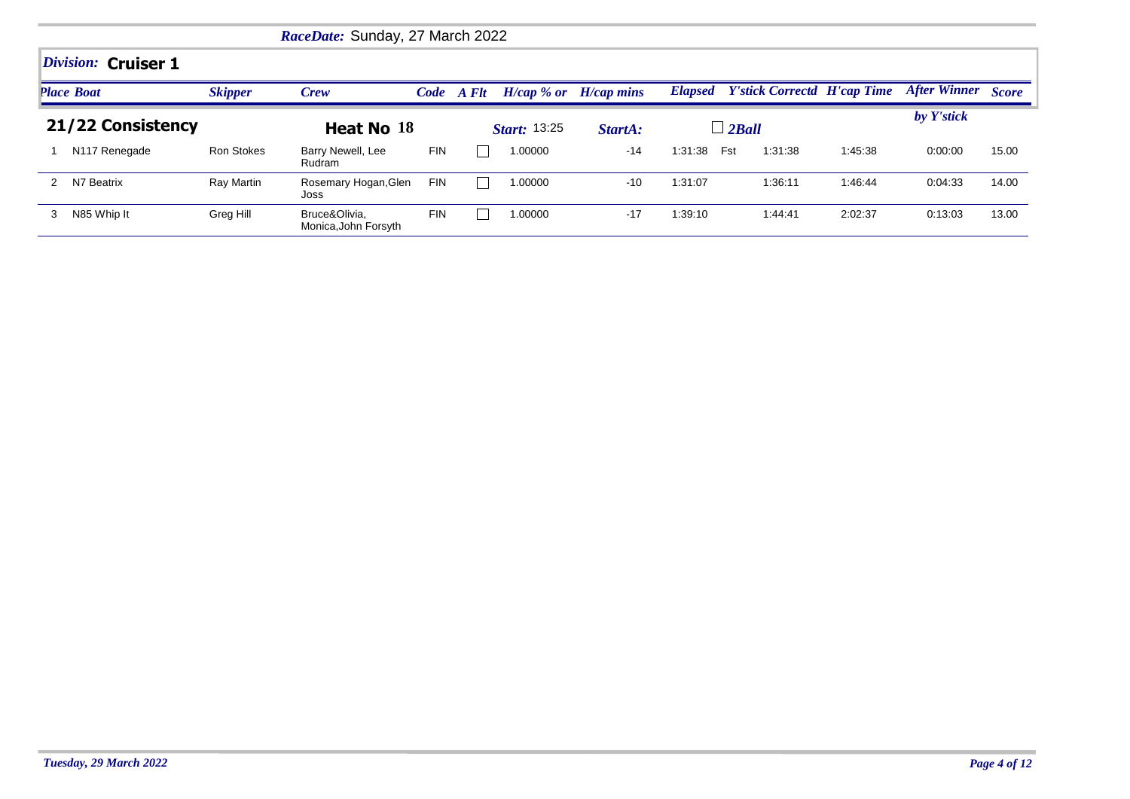|   |                     |                | RaceDate: Sunday, 27 March 2022       |            |       |                     |                           |         |                                            |         |                           |       |
|---|---------------------|----------------|---------------------------------------|------------|-------|---------------------|---------------------------|---------|--------------------------------------------|---------|---------------------------|-------|
|   | Division: Cruiser 1 |                |                                       |            |       |                     |                           |         |                                            |         |                           |       |
|   | <b>Place Boat</b>   | <b>Skipper</b> | <b>Crew</b>                           | Code       | A Flt |                     | $H/cap$ % or $H/cap$ mins |         | <b>Elapsed</b> Y'stick Correctd H'cap Time |         | <b>After Winner Score</b> |       |
|   | 21/22 Consistency   |                | Heat No 18                            |            |       | <b>Start: 13:25</b> | StartA:                   |         | $\Box$ 2Ball                               |         | by Y'stick                |       |
|   | N117 Renegade       | Ron Stokes     | Barry Newell, Lee<br>Rudram           | <b>FIN</b> |       | 1.00000             | $-14$                     | 1:31:38 | Fst<br>1:31:38                             | 1:45:38 | 0:00:00                   | 15.00 |
|   | N7 Beatrix          | Ray Martin     | Rosemary Hogan, Glen<br>Joss          | <b>FIN</b> |       | 1.00000             | $-10$                     | 1:31:07 | 1:36:11                                    | 1:46:44 | 0:04:33                   | 14.00 |
| 3 | N85 Whip It         | Greg Hill      | Bruce&Olivia.<br>Monica, John Forsyth | <b>FIN</b> |       | 1.00000             | $-17$                     | 1:39:10 | 1:44:41                                    | 2:02:37 | 0:13:03                   | 13.00 |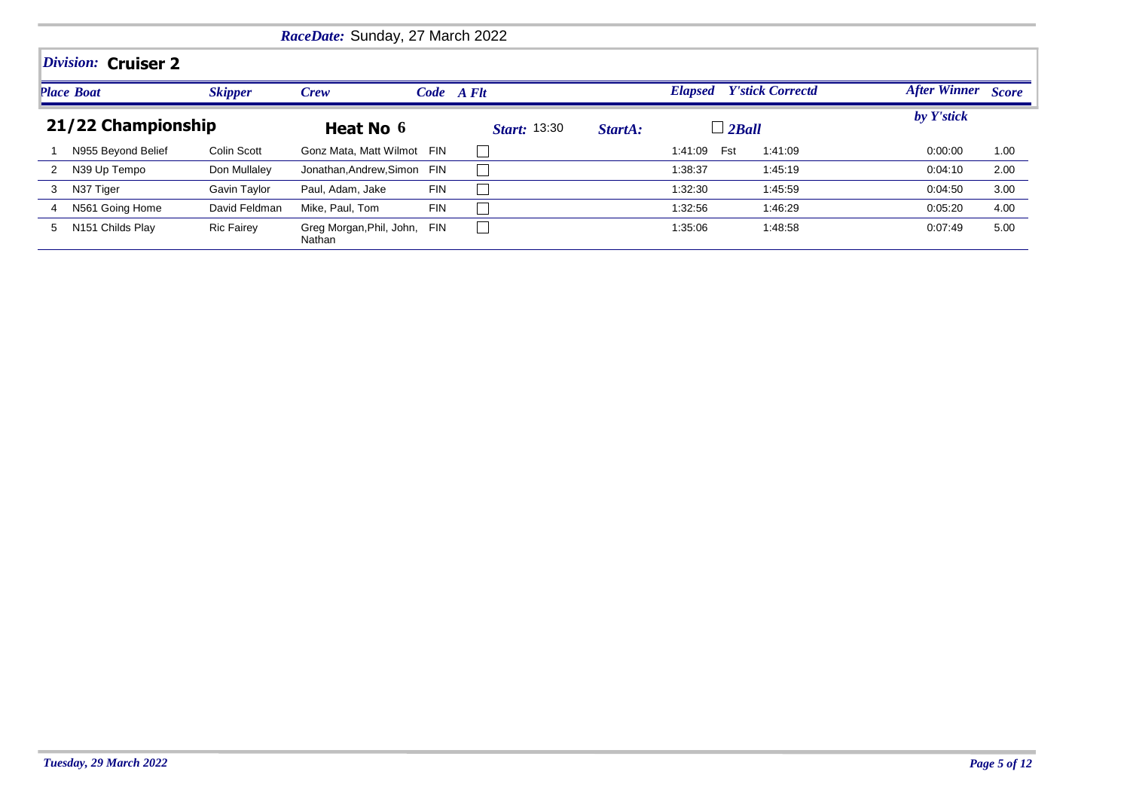|              |                              |                   | RaceDate: Sunday, 27 March 2022        |            |                     |         |                |                         |                    |      |
|--------------|------------------------------|-------------------|----------------------------------------|------------|---------------------|---------|----------------|-------------------------|--------------------|------|
|              | Division: Cruiser 2          |                   |                                        |            |                     |         |                |                         |                    |      |
|              | <b>Place Boat</b>            | <b>Skipper</b>    | Crew                                   |            | Code A Flt          |         | <b>Elapsed</b> | <b>Y'stick Correctd</b> | After Winner Score |      |
|              | 21/22 Championship           |                   | Heat No 6                              |            | <b>Start:</b> 13:30 | StartA: | $\Box$ 2Ball   |                         | by Y'stick         |      |
|              | N955 Beyond Belief           | Colin Scott       | Gonz Mata, Matt Wilmot FIN             |            |                     |         | Fst<br>1:41:09 | 1:41:09                 | 0:00:00            | 1.00 |
| $\mathbf{2}$ | N39 Up Tempo                 | Don Mullaley      | Jonathan, Andrew, Simon                | FIN        |                     |         | 1:38:37        | 1:45:19                 | 0:04:10            | 2.00 |
| 3            | N37 Tiger                    | Gavin Taylor      | Paul, Adam, Jake                       | <b>FIN</b> |                     |         | 1:32:30        | 1:45:59                 | 0:04:50            | 3.00 |
| 4            | N561 Going Home              | David Feldman     | Mike, Paul, Tom                        | <b>FIN</b> |                     |         | 1:32:56        | 1:46:29                 | 0:05:20            | 4.00 |
| 5            | N <sub>151</sub> Childs Play | <b>Ric Fairey</b> | Greg Morgan, Phil, John, FIN<br>Nathan |            |                     |         | 1:35:06        | 1:48:58                 | 0:07:49            | 5.00 |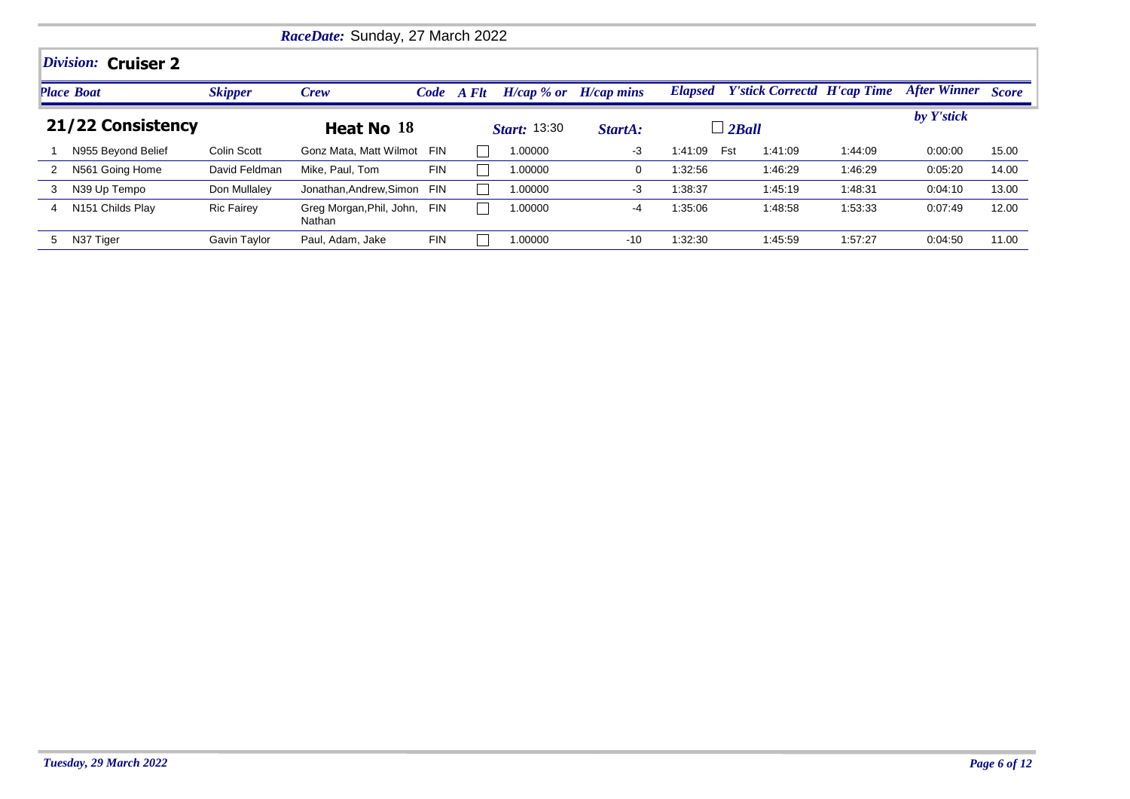|   |                     |                   | RaceDate: Sunday, 27 March 2022    |            |            |                     |              |         |                                            |         |                           |       |
|---|---------------------|-------------------|------------------------------------|------------|------------|---------------------|--------------|---------|--------------------------------------------|---------|---------------------------|-------|
|   | Division: Cruiser 2 |                   |                                    |            |            |                     |              |         |                                            |         |                           |       |
|   | <b>Place Boat</b>   | <b>Skipper</b>    | Crew                               |            | Code A Flt | $H/cap \, %$ or     | $H/cap$ mins |         | <b>Elapsed</b> Y'stick Correctd H'cap Time |         | <b>After Winner Score</b> |       |
|   | 21/22 Consistency   |                   | Heat No 18                         |            |            | <b>Start:</b> 13:30 | StartA:      |         | $\perp$ 2 Ball                             |         | by Y'stick                |       |
|   | N955 Beyond Belief  | Colin Scott       | Gonz Mata, Matt Wilmot             | <b>FIN</b> |            | 1.00000             | $-3$         | 1:41:09 | Fst<br>1:41:09                             | 1:44:09 | 0:00:00                   | 15.00 |
| 2 | N561 Going Home     | David Feldman     | Mike, Paul, Tom                    | <b>FIN</b> |            | 1.00000             | $\Omega$     | 1:32:56 | 1:46:29                                    | 1:46:29 | 0:05:20                   | 14.00 |
| 3 | N39 Up Tempo        | Don Mullaley      | Jonathan, Andrew, Simon            | <b>FIN</b> |            | 00000.              | $-3$         | 1:38:37 | 1.45.19                                    | 1:48:31 | 0:04:10                   | 13.00 |
| 4 | N151 Childs Play    | <b>Ric Fairey</b> | Greg Morgan, Phil, John,<br>Nathan | <b>FIN</b> |            | 1.00000             | -4           | 1:35:06 | 1:48:58                                    | 1:53:33 | 0:07:49                   | 12.00 |
| 5 | N37 Tiger           | Gavin Taylor      | Paul, Adam, Jake                   | <b>FIN</b> |            | 1.00000             | $-10$        | 1:32:30 | 1:45:59                                    | 1:57:27 | 0:04:50                   | 11.00 |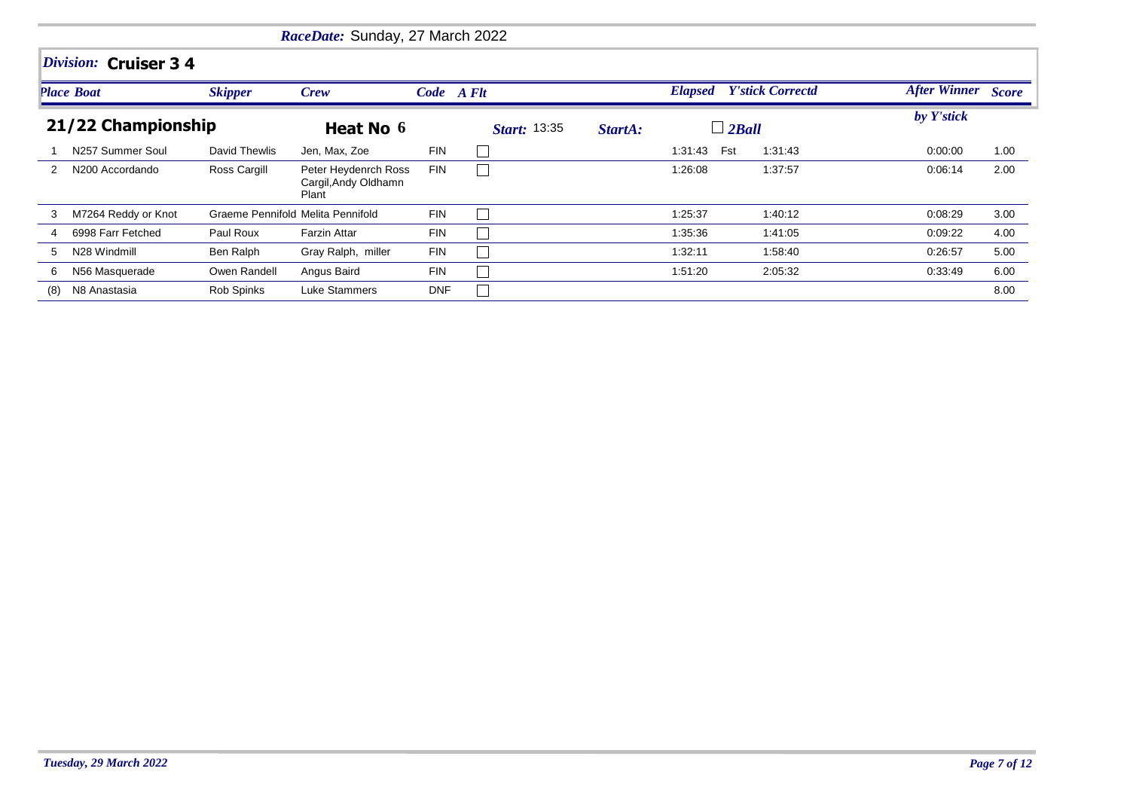|     |                             |                                   | RaceDate: Sunday, 27 March 2022                       |            |                     |         |                                 |         |                    |      |
|-----|-----------------------------|-----------------------------------|-------------------------------------------------------|------------|---------------------|---------|---------------------------------|---------|--------------------|------|
|     | Division: Cruiser 3 4       |                                   |                                                       |            |                     |         |                                 |         |                    |      |
|     | <b>Place Boat</b>           | <b>Skipper</b>                    | Crew                                                  | Code A Flt |                     |         | <b>Elapsed</b> Y'stick Correctd |         | After Winner Score |      |
|     | 21/22 Championship          |                                   | Heat No 6                                             |            | <b>Start: 13:35</b> | StartA: | $\perp$ 2 Ball                  |         | by Y'stick         |      |
|     | N257 Summer Soul            | David Thewlis                     | Jen, Max, Zoe                                         | <b>FIN</b> |                     |         | 1:31:43<br>Fst                  | 1:31:43 | 0:00:00            | 1.00 |
| 2   | N <sub>200</sub> Accordando | Ross Cargill                      | Peter Heydenrch Ross<br>Cargil, Andy Oldhamn<br>Plant | <b>FIN</b> |                     |         | 1:26:08                         | 1:37:57 | 0:06:14            | 2.00 |
| 3   | M7264 Reddy or Knot         | Graeme Pennifold Melita Pennifold |                                                       | <b>FIN</b> |                     |         | 1:25:37                         | 1:40:12 | 0:08:29            | 3.00 |
| 4   | 6998 Farr Fetched           | Paul Roux                         | <b>Farzin Attar</b>                                   | <b>FIN</b> |                     |         | 1:35:36                         | 1:41:05 | 0:09:22            | 4.00 |
| 5   | N28 Windmill                | Ben Ralph                         | Gray Ralph, miller                                    | <b>FIN</b> |                     |         | 1:32:11                         | 1:58:40 | 0:26:57            | 5.00 |
| 6   | N56 Masquerade              | Owen Randell                      | Angus Baird                                           | <b>FIN</b> |                     |         | 1:51:20                         | 2:05:32 | 0:33:49            | 6.00 |
| (8) | N8 Anastasia                | Rob Spinks                        | Luke Stammers                                         | <b>DNF</b> |                     |         |                                 |         |                    | 8.00 |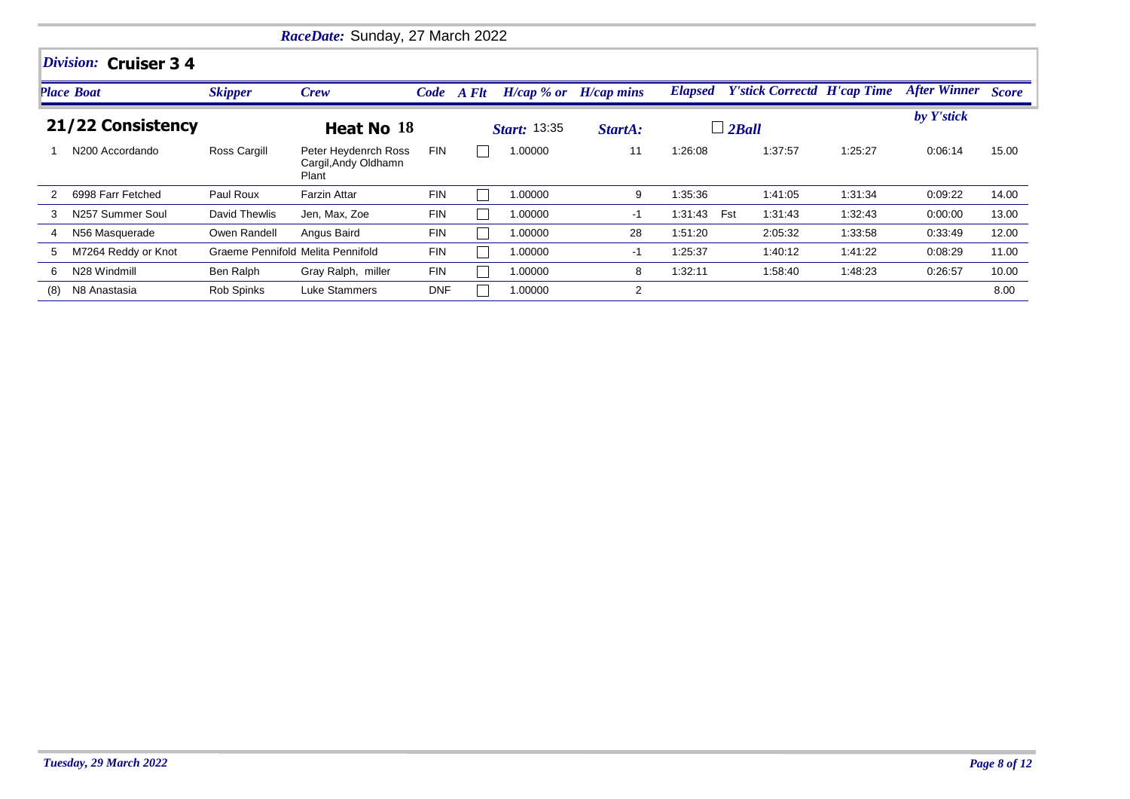|     |                             |                                   | RaceDate: Sunday, 27 March 2022                       |            |                     |              |                |                                    |         |                    |       |
|-----|-----------------------------|-----------------------------------|-------------------------------------------------------|------------|---------------------|--------------|----------------|------------------------------------|---------|--------------------|-------|
|     | Division: Cruiser 3 4       |                                   |                                                       |            |                     |              |                |                                    |         |                    |       |
|     | <b>Place Boat</b>           | <b>Skipper</b>                    | Crew                                                  | Code A Flt | $H/cap \, %$ or     | $H/cap$ mins | <b>Elapsed</b> | <b>Y'stick Correctd H'cap Time</b> |         | After Winner Score |       |
|     | 21/22 Consistency           |                                   | Heat No 18                                            |            | <b>Start: 13:35</b> | StartA:      |                | $\perp$ 2 Ball                     |         | by Y'stick         |       |
|     | N <sub>200</sub> Accordando | Ross Cargill                      | Peter Heydenrch Ross<br>Cargil, Andy Oldhamn<br>Plant | <b>FIN</b> | 1.00000             | 11           | 1:26:08        | 1:37:57                            | 1:25:27 | 0.06:14            | 15.00 |
|     | 6998 Farr Fetched           | Paul Roux                         | <b>Farzin Attar</b>                                   | <b>FIN</b> | 1.00000             | 9            | 1:35:36        | 1:41:05                            | 1:31:34 | 0:09:22            | 14.00 |
| 3   | N257 Summer Soul            | David Thewlis                     | Jen, Max, Zoe                                         | <b>FIN</b> | 1.00000             | $-1$         | 1:31:43        | Fst<br>1:31:43                     | 1:32:43 | 0:00:00            | 13.00 |
| 4   | N56 Masquerade              | Owen Randell                      | Angus Baird                                           | <b>FIN</b> | 1.00000             | 28           | 1:51:20        | 2:05:32                            | 1:33:58 | 0:33:49            | 12.00 |
| 5   | M7264 Reddy or Knot         | Graeme Pennifold Melita Pennifold |                                                       | <b>FIN</b> | 1.00000             | -1           | 1:25:37        | 1:40:12                            | 1:41:22 | 0:08:29            | 11.00 |
| 6   | N28 Windmill                | Ben Ralph                         | Gray Ralph, miller                                    | <b>FIN</b> | 1.00000             | 8            | 1:32:11        | 1:58:40                            | 1:48:23 | 0.26:57            | 10.00 |
| (8) | N8 Anastasia                | Rob Spinks                        | Luke Stammers                                         | <b>DNF</b> | 1.00000             | 2            |                |                                    |         |                    | 8.00  |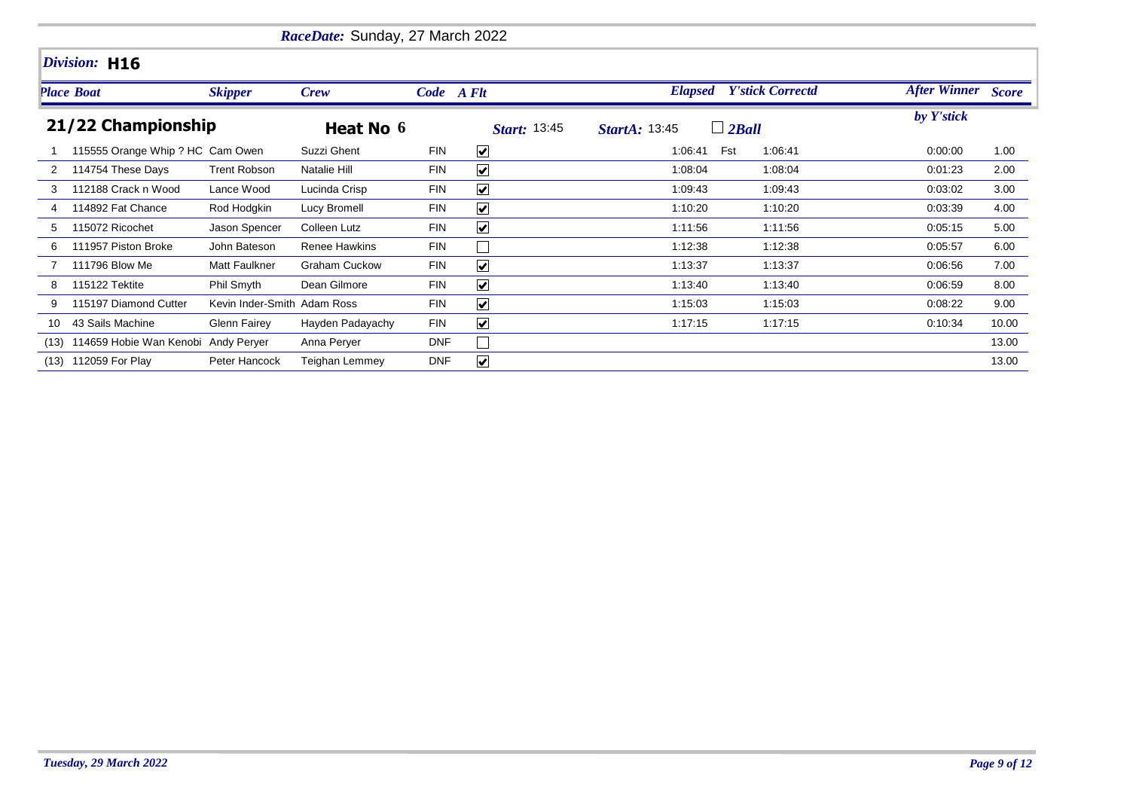|      |                                  |                             | RaceDate: Sunday, 27 March 2022 |            |                         |                                      |         |                           |       |
|------|----------------------------------|-----------------------------|---------------------------------|------------|-------------------------|--------------------------------------|---------|---------------------------|-------|
|      | Division: H16                    |                             |                                 |            |                         |                                      |         |                           |       |
|      | <b>Place Boat</b>                | <b>Skipper</b>              | <b>Crew</b>                     | Code A Flt |                         | <b>Elapsed</b> Y'stick Correctd      |         | <b>After Winner</b> Score |       |
|      | 21/22 Championship               |                             | Heat No 6                       |            | <b>Start: 13:45</b>     | $\Box$ 2Ball<br><b>StartA: 13:45</b> |         | by Y'stick                |       |
|      | 115555 Orange Whip ? HC Cam Owen |                             | Suzzi Ghent                     | <b>FIN</b> | $\blacktriangledown$    | Fst<br>1:06:41                       | 1:06:41 | 0:00:00                   | 1.00  |
| 2    | 114754 These Days                | <b>Trent Robson</b>         | Natalie Hill                    | <b>FIN</b> | $\overline{\mathbf{v}}$ | 1:08:04                              | 1:08:04 | 0:01:23                   | 2.00  |
|      | 112188 Crack n Wood              | Lance Wood                  | Lucinda Crisp                   | <b>FIN</b> | $\blacktriangledown$    | 1:09:43                              | 1:09:43 | 0:03:02                   | 3.00  |
|      | 114892 Fat Chance                | Rod Hodgkin                 | Lucy Bromell                    | <b>FIN</b> | $\blacktriangledown$    | 1:10:20                              | 1:10:20 | 0:03:39                   | 4.00  |
| 5    | 115072 Ricochet                  | Jason Spencer               | Colleen Lutz                    | <b>FIN</b> | $\blacktriangledown$    | 1:11:56                              | 1:11:56 | 0:05:15                   | 5.00  |
| 6    | 111957 Piston Broke              | John Bateson                | Renee Hawkins                   | <b>FIN</b> |                         | 1:12:38                              | 1:12:38 | 0.05.57                   | 6.00  |
|      | 111796 Blow Me                   | <b>Matt Faulkner</b>        | <b>Graham Cuckow</b>            | <b>FIN</b> | $\blacktriangledown$    | 1:13:37                              | 1:13:37 | 0:06:56                   | 7.00  |
| 8    | 115122 Tektite                   | Phil Smyth                  | Dean Gilmore                    | <b>FIN</b> | $\blacktriangledown$    | 1:13:40                              | 1:13:40 | 0:06:59                   | 8.00  |
| 9    | 115197 Diamond Cutter            | Kevin Inder-Smith Adam Ross |                                 | <b>FIN</b> | $\blacktriangledown$    | 1:15:03                              | 1:15:03 | 0:08:22                   | 9.00  |
| 10   | 43 Sails Machine                 | Glenn Fairey                | Hayden Padayachy                | <b>FIN</b> | $\blacktriangledown$    | 1:17:15                              | 1:17:15 | 0:10:34                   | 10.00 |
| (13) | 114659 Hobie Wan Kenobi          | Andy Peryer                 | Anna Peryer                     | <b>DNF</b> |                         |                                      |         |                           | 13.00 |
|      | (13) 112059 For Play             | Peter Hancock               | <b>Teighan Lemmey</b>           | <b>DNF</b> | $\blacktriangledown$    |                                      |         |                           | 13.00 |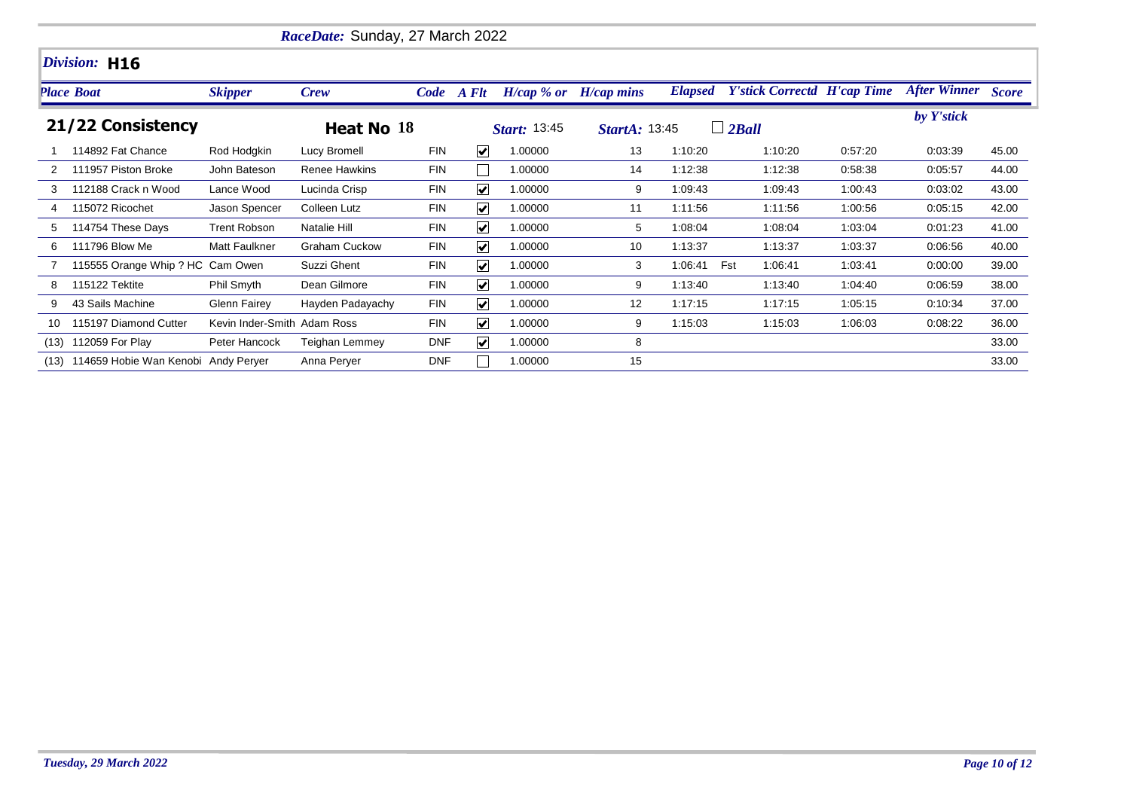|      |                                  |                             | RaceDate: Sunday, 27 March 2022 |            |                             |                           |                      |                |                                    |         |                           |       |
|------|----------------------------------|-----------------------------|---------------------------------|------------|-----------------------------|---------------------------|----------------------|----------------|------------------------------------|---------|---------------------------|-------|
|      | Division: H16                    |                             |                                 |            |                             |                           |                      |                |                                    |         |                           |       |
|      | <b>Place Boat</b>                | <b>Skipper</b>              | <b>Crew</b>                     |            | Code A Flt                  | $H/cap$ % or $H/cap$ mins |                      | <b>Elapsed</b> | <b>Y'stick Correctd H'cap Time</b> |         | <b>After Winner Score</b> |       |
|      | 21/22 Consistency                |                             | Heat No 18                      |            |                             | <b>Start: 13:45</b>       | <b>StartA: 13:45</b> |                | $\Box$ 2Ball                       |         | by Y'stick                |       |
|      | 114892 Fat Chance                | Rod Hodgkin                 | Lucy Bromell                    | <b>FIN</b> | $\overline{\mathbf{v}}$     | 1.00000                   | 13                   | 1:10:20        | 1:10:20                            | 0.57:20 | 0:03:39                   | 45.00 |
|      | 111957 Piston Broke              | John Bateson                | <b>Renee Hawkins</b>            | <b>FIN</b> |                             | 1.00000                   | 14                   | 1:12:38        | 1:12:38                            | 0:58:38 | 0:05:57                   | 44.00 |
|      | 112188 Crack n Wood              | Lance Wood                  | Lucinda Crisp                   | <b>FIN</b> | $\blacktriangledown$        | 1.00000                   | 9                    | 1:09:43        | 1:09:43                            | 1:00:43 | 0:03:02                   | 43.00 |
|      | 115072 Ricochet                  | Jason Spencer               | Colleen Lutz                    | <b>FIN</b> | $\blacktriangledown$        | 1.00000                   | 11                   | 1:11:56        | 1:11:56                            | 1:00:56 | 0:05:15                   | 42.00 |
| 5    | 114754 These Days                | <b>Trent Robson</b>         | Natalie Hill                    | <b>FIN</b> | $\vert\bm{\mathsf{v}}\vert$ | 1.00000                   | 5                    | 1:08:04        | 1:08:04                            | 1:03:04 | 0:01:23                   | 41.00 |
| 6    | 111796 Blow Me                   | <b>Matt Faulkner</b>        | <b>Graham Cuckow</b>            | <b>FIN</b> | $\blacktriangledown$        | 1.00000                   | 10                   | 1:13:37        | 1:13:37                            | 1:03:37 | 0:06:56                   | 40.00 |
|      | 115555 Orange Whip ? HC Cam Owen |                             | Suzzi Ghent                     | <b>FIN</b> | $\blacktriangledown$        | 1.00000                   | 3                    | 1:06:41        | Fst<br>1:06:41                     | 1:03:41 | 0:00:00                   | 39.00 |
| 8    | 115122 Tektite                   | Phil Smyth                  | Dean Gilmore                    | <b>FIN</b> | $\overline{\mathbf{v}}$     | 1.00000                   | 9                    | 1:13:40        | 1:13:40                            | 1:04:40 | 0:06:59                   | 38.00 |
| 9    | 43 Sails Machine                 | Glenn Fairey                | Hayden Padayachy                | <b>FIN</b> | $\blacktriangledown$        | 1.00000                   | 12                   | 1:17:15        | 1:17:15                            | 1:05:15 | 0:10:34                   | 37.00 |
| 10   | 115197 Diamond Cutter            | Kevin Inder-Smith Adam Ross |                                 | <b>FIN</b> | $\overline{\mathbf{v}}$     | 1.00000                   | 9                    | 1:15:03        | 1:15:03                            | 1:06:03 | 0:08:22                   | 36.00 |
| (13) | 112059 For Play                  | Peter Hancock               | Teighan Lemmey                  | <b>DNF</b> | $\overline{\mathbf{v}}$     | 1.00000                   | 8                    |                |                                    |         |                           | 33.00 |
| (13) | 114659 Hobie Wan Kenobi          | Andy Peryer                 | Anna Perver                     | <b>DNF</b> |                             | 1.00000                   | 15                   |                |                                    |         |                           | 33.00 |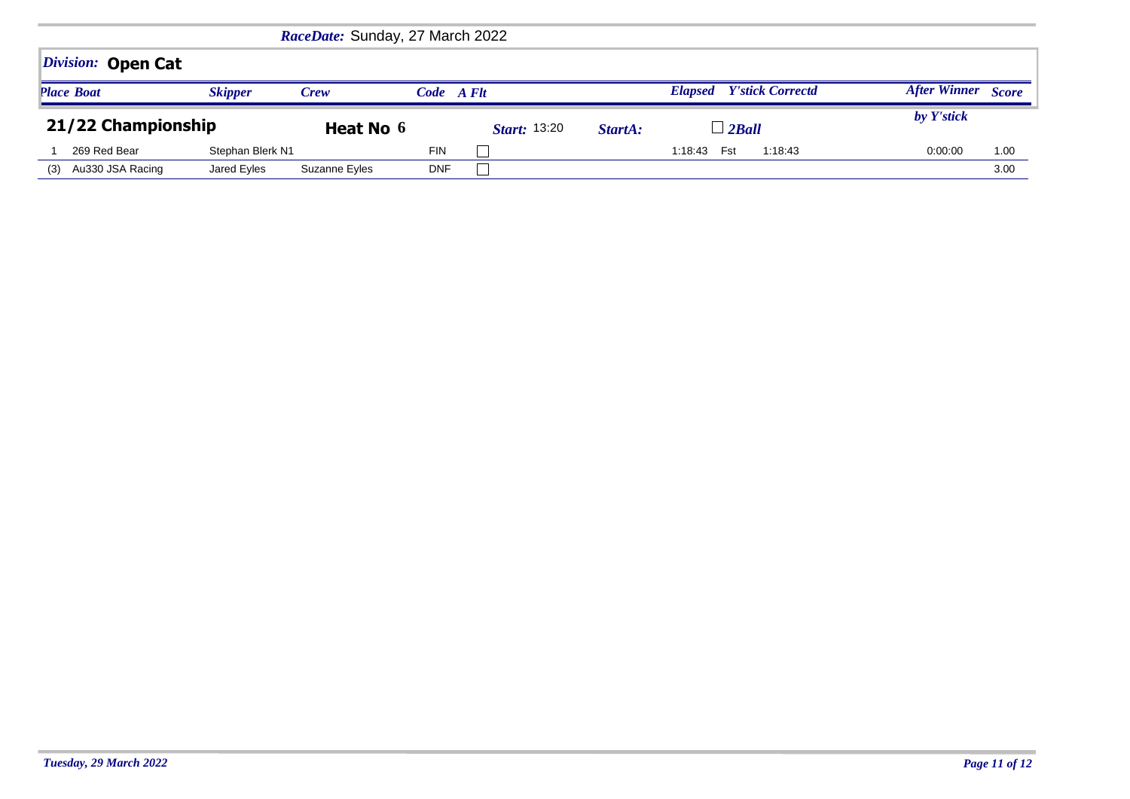|                    |                  | RaceDate: Sunday, 27 March 2022 |            |                      |         |                                           |                                     |
|--------------------|------------------|---------------------------------|------------|----------------------|---------|-------------------------------------------|-------------------------------------|
| Division: Open Cat |                  |                                 |            |                      |         |                                           |                                     |
| <b>Place Boat</b>  | <b>Skipper</b>   | <b>Crew</b>                     | Code A Flt |                      |         | <b>Y'stick Correctd</b><br><b>Elapsed</b> | <b>After Winner</b><br><b>Score</b> |
|                    |                  |                                 |            |                      |         |                                           |                                     |
| 21/22 Championship |                  | Heat No 6                       |            | <i>Start</i> : 13:20 | StartA: | $\perp$ 2 Ball                            | by Y'stick                          |
| 269 Red Bear       | Stephan Blerk N1 |                                 | <b>FIN</b> |                      |         | Fst<br>1:18:43<br>1:18:43                 | 0:00:00<br>1.00                     |